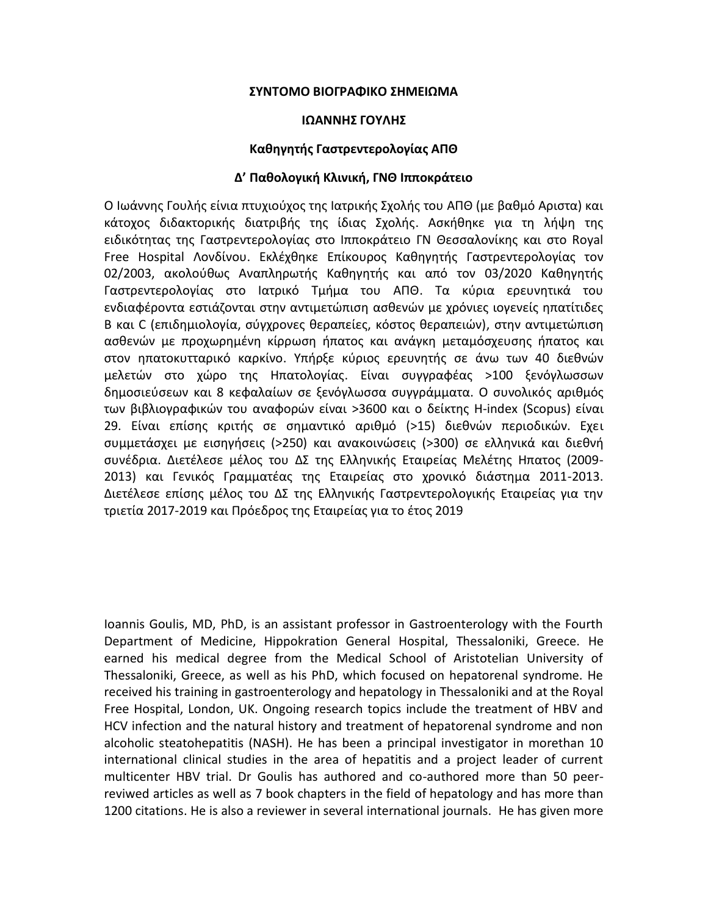## **ΣΥΝΤΟΜΟ ΒΙΟΓΡΑΦΙΚΟ ΣΗΜΕΙΩΜΑ**

#### **ΙΩΑΝΝΗΣ ΓΟΥΛΗΣ**

### **Καθηγητής Γαστρεντερολογίας ΑΠΘ**

## **Δ' Παθολογική Κλινική, ΓΝΘ Ιπποκράτειο**

Ο Ιωάννης Γουλής είνια πτυχιούχος της Ιατρικής Σχολής του ΑΠΘ (με βαθμό Αριστα) και κάτοχος διδακτορικής διατριβής της ίδιας Σχολής. Ασκήθηκε για τη λήψη της ειδικότητας της Γαστρεντερολογίας στο Ιπποκράτειο ΓΝ Θεσσαλονίκης και στο Royal Free Hospital Λονδίνου. Εκλέχθηκε Επίκουρος Καθηγητής Γαστρεντερολογίας τον 02/2003, ακολούθως Αναπληρωτής Καθηγητής και από τον 03/2020 Καθηγητής Γαστρεντερολογίας στο Ιατρικό Τμήμα του ΑΠΘ. Τα κύρια ερευνητικά του ενδιαφέροντα εστιάζονται στην αντιμετώπιση ασθενών με χρόνιες ιογενείς ηπατίτιδες Β και C (επιδημιολογία, σύγχρονες θεραπείες, κόστος θεραπειών), στην αντιμετώπιση ασθενών με προχωρημένη κίρρωση ήπατος και ανάγκη μεταμόσχευσης ήπατος και στον ηπατοκυτταρικό καρκίνο. Υπήρξε κύριος ερευνητής σε άνω των 40 διεθνών μελετών στο χώρο της Ηπατολογίας. Είναι συγγραφέας >100 ξενόγλωσσων δημοσιεύσεων και 8 κεφαλαίων σε ξενόγλωσσα συγγράμματα. Ο συνολικός αριθμός των βιβλιογραφικών του αναφορών είναι >3600 και ο δείκτης H-index (Scopus) είναι 29. Είναι επίσης κριτής σε σημαντικό αριθμό (>15) διεθνών περιοδικών. Εχει συμμετάσχει με εισηγήσεις (>250) και ανακοινώσεις (>300) σε ελληνικά και διεθνή συνέδρια. Διετέλεσε μέλος του ΔΣ της Ελληνικής Εταιρείας Μελέτης Ηπατος (2009- 2013) και Γενικός Γραμματέας της Εταιρείας στο χρονικό διάστημα 2011-2013. Διετέλεσε επίσης μέλος του ΔΣ της Ελληνικής Γαστρεντερολογικής Εταιρείας για την τριετία 2017-2019 και Πρόεδρος της Εταιρείας για το έτος 2019

Ioannis Goulis, MD, PhD, is an assistant professor in Gastroenterology with the Fourth Department of Medicine, Hippokration General Hospital, Thessaloniki, Greece. He earned his medical degree from the Medical School of Aristotelian University of Thessaloniki, Greece, as well as his PhD, which focused on hepatorenal syndrome. He received his training in gastroenterology and hepatology in Thessaloniki and at the Royal Free Hospital, London, UK. Ongoing research topics include the treatment of HBV and HCV infection and the natural history and treatment of hepatorenal syndrome and non alcoholic steatohepatitis (NASH). He has been a principal investigator in morethan 10 international clinical studies in the area of hepatitis and a project leader of current multicenter HBV trial. Dr Goulis has authored and co-authored more than 50 peerreviwed articles as well as 7 book chapters in the field of hepatology and has more than 1200 citations. He is also a reviewer in several international journals. He has given more